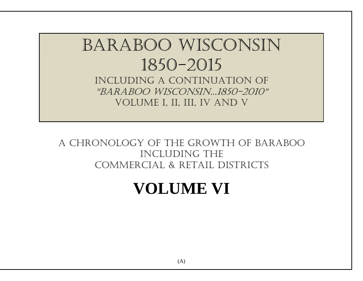# Baraboo Wisconsin 1850-2015 Including a Continuation of "Baraboo Wisconsin...1850-2010" volume I, II, III, IV and V

## A Chronology of the growth of Baraboo including the Commercial & Retail Districts

# **VOLUME VI**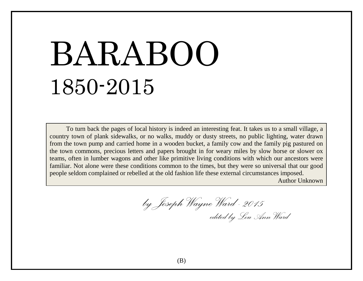# BARABOO 1850-2015

To turn back the pages of local history is indeed an interesting feat. It takes us to a small village, a country town of plank sidewalks, or no walks, muddy or dusty streets, no public lighting, water drawn from the town pump and carried home in a wooden bucket, a family cow and the family pig pastured on the town commons, precious letters and papers brought in for weary miles by slow horse or slower ox teams, often in lumber wagons and other like primitive living conditions with which our ancestors were familiar. Not alone were these conditions common to the times, but they were so universal that our good people seldom complained or rebelled at the old fashion life these external circumstances imposed.

Author Unknown

 *by Joseph Wayne Ward -2015 edited by Lou Ann Ward*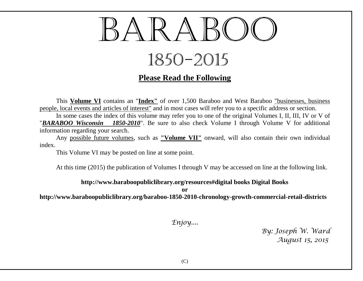

# 1850-2015

## **Please Read the Following**

This **Volume VI** contains an "**Index"** of over 1,500 Baraboo and West Baraboo "businesses, business people, local events and articles of interest" and in most cases will refer you to a specific address or section.

In some cases the index of this volume may refer you to one of the original Volumes I, II, III, IV or V of "*BARABOO Wisconsin 1850-2010*". Be sure to also check Volume I through Volume V for additional information regarding your search.

Any possible future volumes, such as **"Volume VII"** onward, will also contain their own individual index.

This Volume VI may be posted on line at some point.

At this time (2015) the publication of Volumes I through V may be accessed on line at the following link.

#### **http://www.baraboopubliclibrary.org/resources#digital books Digital Books**

**or**

**http://www.baraboopubliclibrary.org/baraboo-1850-2010-chronology-growth-commercial-retail-districts**

*Enjoy....*

*By: Joseph W. Ward August 15, 2015*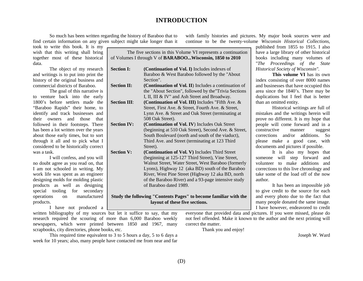#### **INTRODUCTION**

So much has been written regarding the history of Baraboo that to find certain information on any given subject might take longer than it

took to write this book. It is my wish that this writing shall bring together most of these historical data.

The object of my research and writings is to put into print the history of the original business and commercial districts of Baraboo.

The goal of this narrative is to venture back into the early 1800's before settlers made the "Baraboo Rapids" their home, to identify and track businesses and their owners and those that followed in their footsteps. There has been a lot written over the years about those early times, but to sort through it all and to pick what I considered to be historically correct was a task.

I will confess, and you will no doubt agree as you read on, that I am not schooled in writing. My work life was spent as an engineer designing molds for molding plastic products as well as designing special tooling for secondary operations on manufactured products.

I have not produced a

of Volumes I through V of **BARABOO...Wisconsin, 1850 to 2010 Section I: (Continuation of Vol. I)** Includes indexes of Baraboo & West Baraboo followed by the "About Section". **Section II: (Continuation of Vol. II)** Includes a continuation of the "About Section", followed by the"Trivia Sections I, II, III & IV" and Ash Street and Broadway. **Section III**: **(Continuation of Vol. III)** Includes "Fifth Ave. & Street, First Ave. & Street, Fourth Ave. & Street, Lynn Ave. & Street and Oak Street (terminating at 508 Oak Street). **Section IV: (Continuation of Vol. IV**) Includes Oak Street (beginning at 510 Oak Street), Second Ave. & Street, South Boulevard (north and south of the viaduct), Third Ave. and Street (terminating at 123 Third Street). **Section V: (Continuation of Vol. V)** Includes Third Street (beginning at 125-127 Third Street), Vine Street, Walnut Street, Water Street, West Baraboo (formerly Lyons), Highway 12 (aka BD) south of the Baraboo River, West Pine Street (Highway 12 aka BD, north of the Baraboo River) and a 93-page intensive study of Baraboo dated 1989.

#### **Study the following "Contents Pages" to become familiar with the layout of these five sections.**

with family histories and pictures. My major book sources were and continue to be the twenty-volume *Wisconsin Historical Collections*,

author. everyone that provided data and pictures. If you were missed, please do not feel offended. Make it known to the author and the next printing will

correct the matter.

Thank you and enjoy!

Joseph W. Ward

written bibliography of my sources but let it suffice to say, that my research required the scouring of more than 6,000 Baraboo weekly newspapers, which were printed between 1850 and 1967, many scrapbooks, city directories, phone books, etc.

This required time equivalent to 3 to 5 hours a day, 5 to 6 days a week for 10 years; also, many people have contacted me from near and far

(D)

The five sections in this Volume VI represents a continuation published from 1855 to 1915. I also

have a large library of other historical books including many volumes of "*The Proceedings of the State Historical Society of Wisconsin".*

**This volume VI** has its own index consisting of over 8000 names and businesses that have occupied this area since the 1840's. There may be duplications but I feel that is better than an omitted entity.

Historical writings are full of mistakes and the writings herein will prove no different. It is my hope that people will come forward and in a constructive manner suggest corrections and/or additions. So please make a good case, with documents and pictures if possible.

It is also my hopes that someone will step forward and volunteer to make additions and corrections to this live chronology and take some of the load off of the now

It has been an impossible job to give credit to the source for each and every photo due to the fact that many people donated the same image. I have however, endeavored to credit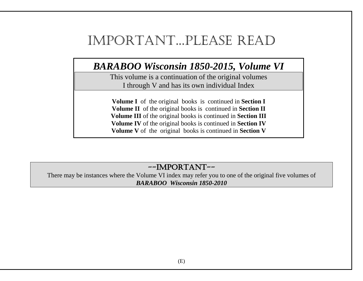## Important...Please Read

## *BARABOO Wisconsin 1850-2015, Volume VI*

This volume is a continuation of the original volumes I through V and has its own individual Index

**Volume I** of the original books is continued in **Section I Volume II** of the original books is continued in **Section II Volume III** of the original books is continued in **Section III Volume IV** of the original books is continued in **Section IV Volume V** of the original books is continued in **Section V**

## --IMPORTANT--

There may be instances where the Volume VI index may refer you to one of the original five volumes of *BARABOO Wisconsin 1850-2010*